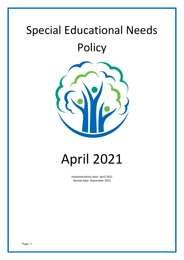# Special Educational Needs **Policy**



# April 2021

Implementation date: April 2021 Review date: September 2022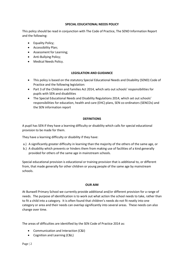#### **SPECIAL EDUCATIONAL NEEDS POLICY**

This policy should be read in conjunction with The Code of Practice, The SEND Information Report and the following:

- Equality Policy;
- Accessibility Plan;
- Assessment for Learning;
- Anti-Bullying Policy;
- Medical Needs Policy.

### **LEGISLATION AND GUIDANCE**

- This policy is based on the statutory Special Educational Needs and Disability (SEND) Code of Practice and the following legislation:
- Part 3 of the Children and Families Act 2014, which sets out schools' responsibilities for pupils with SEN and disabilities
- The Special Educational Needs and Disability Regulations 2014, which set out schools' responsibilities for education, health and care (EHC) plans, SEN co-ordinators (SENCOs) and the SEN information report

### **DEFINITIONS**

A pupil has SEN if they have a learning difficulty or disability which calls for special educational provision to be made for them.

They have a learning difficulty or disability if they have:

- a.) A significantly greater difficulty in learning than the majority of the others of the same age, or
- b.) A disability which prevents or hinders them from making use of facilities of a kind generally provided for others of the same age in mainstream schools.

Special educational provision is educational or training provision that is additional to, or different from, that made generally for other children or young people of the same age by mainstream schools.

#### **OUR AIM**

At Bunwell Primary School we currently provide additional and/or different provision for a range of needs. The purpose of identification is to work out what action the school needs to take, rather than to fit a child into a category. It is often found that children's needs do not fit neatly into one category or area and their needs can overlap significantly into several areas. These needs can also change over time.

The areas of difficulties are identified by the SEN Code of Practice 2014 as:

- Communication and Interaction (C&I)
- Cognition and Learning (C&L)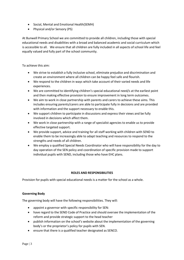- Social, Mental and Emotional Health(SEMH)
- Physical and/or Sensory (PS)

At Bunwell Primary School we are committed to provide all children, including those with special educational needs and disabilities with a broad and balanced academic and social curriculum which is accessible to all. We ensure that all children are fully included in all aspects of school life and feel equally valued and fully part of the school community.

To achieve this aim:

- We strive to establish a fully inclusive school, eliminate prejudice and discrimination and create an environment where all children can be happy feel safe and flourish.
- We respond to the children in ways which take account of their varied needs and life experiences.
- We are committed to identifying children's special educational need/s at the earliest point and then making effective provision to ensure improvement in long term outcomes.
- We aim to work in close partnership with parents and carers to achieve these aims. This includes ensuring parents/carers are able to participate fully in decisions and are provided with information and the support necessary to enable this.
- We support children to participate in discussions and express their views and be fully involved in decisions which affect them.
- We work in close partnership with a range of specialist agencies to enable us to provide effective targeted support.
- We provide support, advice and training for all staff working with children with SEND to enable them to be increasingly able to adapt teaching and resources to respond to the strengths and needs of all children.
- We employ a qualified Special Needs Coordinator who will have responsibility for the day to day operation of the SEN policy and coordination of specific provision made to support individual pupils with SEND, including those who have EHC plans.

# **ROLES AND RESPONSIBILITIES**

Provision for pupils with special educational needs is a matter for the school as a whole.

#### **Governing Body**

The governing body will have the following responsibilities. They will:

- appoint a governor with specific responsibility for SEN:
- have regard to the SEND Code of Practice and should oversee the implementation of the reform and provide strategic support to the head teacher
- publish information on the school's website about the implementation of the governing body's or the proprietor's policy for pupils with SEN.
- ensure that there is a qualified teacher designated as SENCO.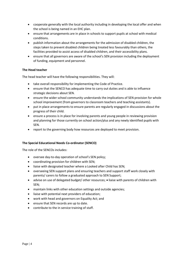- cooperate generally with the local authority including in developing the local offer and when the school is being named in an EHC plan.
- ensure that arrangements are in place in schools to support pupils at school with medical conditions.
- publish information about the arrangements for the admission of disabled children, the steps taken to prevent disabled children being treated less favourably than others, the facilities provided to assist access of disabled children, and their accessibility plans.
- ensure that all governors are aware of the school's SEN provision including the deployment of funding, equipment and personnel.

# **The Head teacher**

The head teacher will have the following responsibilities. They will:

- take overall responsibility for implementing the Code of Practice.
- ensure that the SENCO has adequate time to carry out duties and is able to influence strategic decisions about SEN.
- ensure the wider school community understands the implications of SEN provision for whole school improvement (from governors to classroom teachers and teaching assistants).
- put in place arrangements to ensure parents are regularly engaged in discussions about the progress of their child.
- ensure a process is in place for involving parents and young people in reviewing provision and planning for those currently on school action/plus and any newly identified pupils with SEN.
- report to the governing body how resources are deployed to meet provision.

#### **The Special Educational Needs Co-ordinator (SENCO)**

The role of the SENCOs includes:

- oversee day-to-day operation of school's SEN policy;
- coordinating provision for children with SEN;
- liaise with designated teacher where a Looked after Child has SEN;
- overseeing SEN support plans and ensuring teachers and support staff work closely with parents/ carers to follow a graduated approach to SEN Support;
- advise on use of delegated budget/ other resources; liaise with parents of children with SEN;
- maintain links with other education settings and outside agencies;
- liaise with potential next providers of education;
- work with head and governors on Equality Act; and
- ensure that SEN records are up to date.
- contribute to the in service training of staff.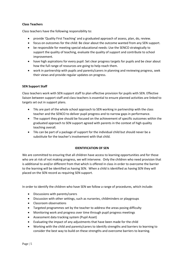# **Class Teachers**

Class teachers have the following responsibility to:

- provide 'Quality First Teaching' and a graduated approach of assess, plan, do, review.
- focus on outcomes for the child: Be clear about the outcome wanted from any SEN support.
- be responsible for meeting special educational needs: Use the SENCO strategically to support the quality of teaching, evaluate the quality of support and contribute to school improvement.
- have high aspirations for every pupil: Set clear progress targets for pupils and be clear about how the full range of resources are going to help reach them.
- work in partnership with pupils and parents/carers in planning and reviewing progress, seek their views and provide regular updates on progress.

#### **SEN Support Staff**

Class teachers work with SEN support staff to plan effective provision for pupils with SEN. Effective liaison between support staff and class teachers is essential to ensure planned activities are linked to targets set out in support plans.

- TAs are part of the whole school approach to SEN working in partnership with the class teacher and the SENCO to deliver pupil progress and to narrow gaps in performance.
- The support they give should be focused on the achievement of specific outcomes within the graduated approach to SEN support agreed with parents in the context of high quality teaching overall.
- TAs can be part of a package of support for the individual child but should never be a substitute for the teacher's involvement with that child.

#### **IDENTIFICATION OF SEN**

We are committed to ensuring that all children have access to learning opportunities and for those who are at risk of not making progress, we will intervene. Only the children who need provision that is additional to and/or different from that which is offered in class in order to overcome the barrier to the learning will be identified as having SEN. When a child is identified as having SEN they will placed on the SEN record as requiring SEN support.

In order to identify the children who have SEN we follow a range of procedures, which include:

- Discussions with parents/carers
- Discussion with other settings, such as nurseries, childminders or playgroups
- Classroom observations
- Targeted programmes set by the teacher to address the areas posing difficulty
- Monitoring work and progress over time through pupil progress meetings
- Assessment data tracking system (Pupil Asset)
- Evaluating the impact of any adjustments that have been made for the child
- Working with the child and parents/carers to identify strengths and barriers to learning to consider the best way to build on these strengths and overcome barriers to learning.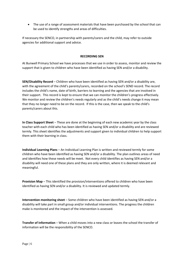• The use of a range of assessment materials that have been purchased by the school that can be used to identify strengths and areas of difficulties.

If necessary the SENCO, in partnership with parents/carers and the child, may refer to outside agencies for additional support and advice.

#### **RECORDING SEN**

At Bunwell Primary School we have processes that we use in order to assess, monitor and review the support that is given to children who have been identified as having SEN and/or a disability.

**SEN/Disability Record** – Children who have been identified as having SEN and/or a disability are, with the agreement of the child's parents/carers, recorded on the school's SEND record. The record includes the child's name, date of birth, barriers to learning and the agencies that are involved in their support. This record is kept to ensure that we can monitor the children's progress effectively. We monitor and review the children's needs regularly and as the child's needs change it may mean that they no longer need to be on the record. If this is the case, then we speak to the child's parents/carers about this.

**In Class Support Sheet** – These are done at the beginning of each new academic year by the class teacher with each child who has been identified as having SEN and/or a disability and are reviewed termly. This sheet identifies the adjustments and support given to individual children to help support them with their learning in class.

**Individual Learning Plans** – An Individual Learning Plan is written and reviewed termly for some children who have been identified as having SEN and/or a disability. The plan outlines areas of need and identifies how these needs will be meet. Not every child identifies as having SEN and/or a disability will need one of these plans and they are only written, where it is deemed relevant and meaningful.

**Provision Map** – This identified the provision/interventions offered to children who have been identified as having SEN and/or a disability. It is reviewed and updated termly.

**Intervention monitoring sheet** – Some children who have been identified as having SEN and/or a disability will take part in small group and/or individual interventions. The progress the children make is monitored and the impact of the intervention is assessed.

**Transfer of Information** – When a child moves into a new class or leaves the school the transfer of information will be the responsibility of the SENCO.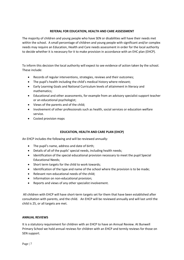# **REFERAL FOR EDUCATION, HEALTH AND CARE ASSESSMENT**

The majority of children and young people who have SEN or disabilities will have their needs met within the school. A small percentage of children and young people with significant and/or complex needs may require an Education, Health and Care needs assessment in order for the local authority to decide whether it is necessary for it to make provision in accordance with an EHC plan (EHCP).

To inform this decision the local authority will expect to see evidence of action taken by the school. These include:

- Records of regular interventions, strategies, reviews and their outcomes;
- The pupil's health including the child's medical history where relevant;
- Early Learning Goals and National Curriculum levels of attainment in literacy and mathematics;
- Educational and other assessments, for example from an advisory specialist support teacher or an educational psychologist;
- Views of the parents and of the child;
- Involvement of other professionals such as health, social services or education welfare service.
- Costed provision maps

# **EDUCATION, HEALTH AND CARE PLAN (EHCP)**

An EHCP includes the following and will be reviewed annually:

- The pupil's name, address and date of birth;
- Details of all of the pupils' special needs, including health needs;
- Identification of the special educational provision necessary to meet the pupil Special Educational Needs;
- Short term targets for the child to work towards;
- Identification of the type and name of the school where the provision is to be made;
- Relevant non-educational needs of the child;
- Information on non-educational provision;
- Reports and views of any other specialist involvement.

All children with EHCP will have short-term targets set for them that have been established after consultation with parents, and the child. An EHCP will be reviewed annually and will last until the child is 25, or all targets are met.

# **ANNUAL REVIEWS**

It is a statutory requirement for children with an EHCP to have an Annual Review. At Bunwell Primary School we hold annual reviews for children with an EHCP and termly reviews for those on SEN support.